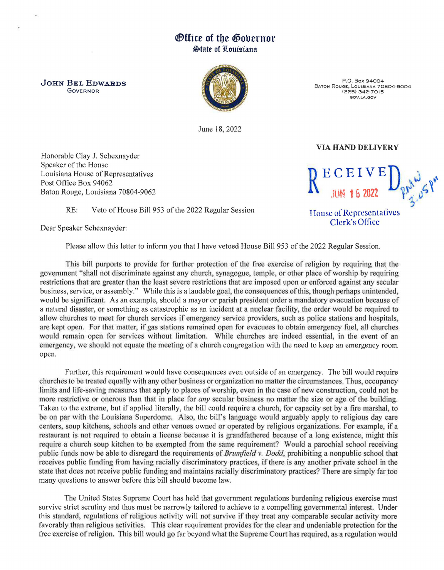## ®fftce of tbe ®obernor  $\bigoplus$ tate of Louisiana

JOHN *BEL* EDWARDS **GOVERNOR** 



P.O. Box 94004 BATON RoUGE, LOUISIANA 70804-9004 (225) 342-7015 GOV.LA.GOV

VIA HAND DELIVERY

House of Representatives Clerk's Office

June 18,2022

Honorable Clay J. Schexnayder Speaker of the House Louisiana House of Representatives Post Office Box 94062 Baton Rouge, Louisiana 70804-9062

RE: Veto of House Bill 953 of the 2022 Regular Session

Dear Speaker Schexnayder:

Please allow this letter to inform you that I have vetoed House Bill 953 of the 2022 Regular Session.

This bill purports to provide for further protection of the free exercise of religion by requiring that the government "shall not discriminate against any church, synagogue, temple, or other place of worship by requiring restrictions that are greater than the least severe restrictions that are imposed upon or enforced against any secular business, service, or assembly." While this is a laudable goal, the consequences of this, though perhaps unintended, would be significant. As an example, should a mayor or parish president order a mandatory evacuation because of a natural disaster, or something as catastrophic as an incident at a nuclear facility, the order would be required to allow churches to meet for church services if emergency service providers, such as police stations and hospitals, are kept open. For that matter, if gas stations remained open for evacuees to obtain emergency fuel, all churches would remain open for services without limitation. While churches are indeed essential, in the event of an emergency, we should not equate the meeting of a church congregation with the need to keep an emergency room open.

Further, this requirement would have consequences even outside of an emergency. The bill would require churches to be treated equally with any other business or organization no matter the circumstances. Thus occupancy limits and life-saving measures that apply to places of worship, even in the case of new construction, could not be more restrictive or onerous than that in place for *any* secular business no matter the size or age of the building. Taken to the extreme, but if applied literally, the bill could require a church, for capacity set by a fire marshal to be on par with the Louisiana Superdome. Also, the bill's language would arguably apply to religious day care centers, soup kitchens, schools and other venues owned or operated by religious organizations. For example, if a restaurant is not required to obtain a license because it is grandfathered because of a long existence, might this require a church soup kitchen to be exempted from the same requirement? Would a parochial school receiving public funds now be able to disregard the requirements of *Brumfield v. Dodd*, prohibiting a nonpublic school that receives public funding from having racially discriminatory practices, if there is any another private chool in the state that does not receive public funding and maintains racially discriminatory practices? There are simply far too many questions to answer before this bill should become law.

The United States Supreme Court has held that government regulations burdening religious exercise must survive strict scrutiny and thus must be narrowly tailored to achieve to a compelling governmental interest. Under this standard, regulations of religious activity will not survive if they treat any comparable secular activity more favorably than religious activities. This clear requirement provides for the clear and undeniable protection for the free exercise of religion. This bill would go far beyond what the Supreme Court has required, as a regulation would